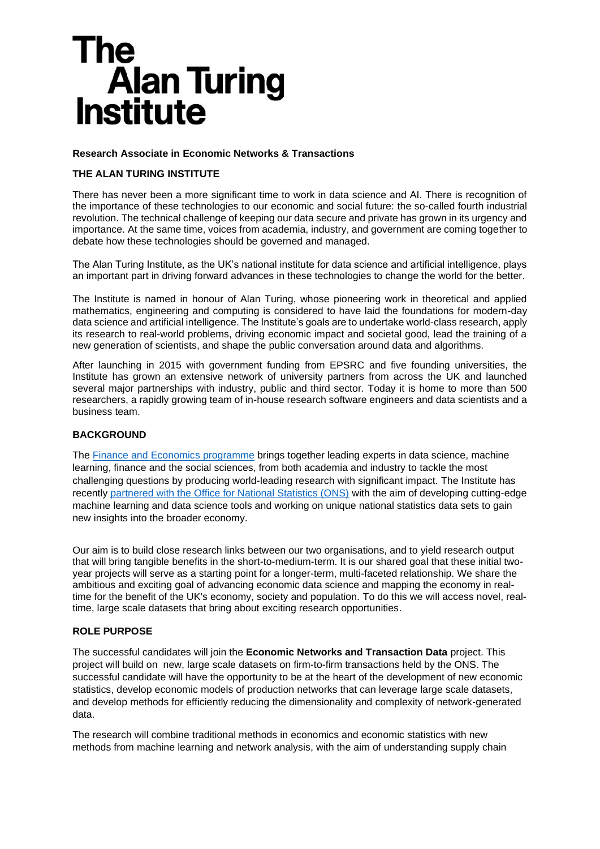# The **Alan Turing Institute**

## **Research Associate in Economic Networks & Transactions**

# **THE ALAN TURING INSTITUTE**

There has never been a more significant time to work in data science and AI. There is recognition of the importance of these technologies to our economic and social future: the so-called fourth industrial revolution. The technical challenge of keeping our data secure and private has grown in its urgency and importance. At the same time, voices from academia, industry, and government are coming together to debate how these technologies should be governed and managed.

The Alan Turing Institute, as the UK's national institute for data science and artificial intelligence, plays an important part in driving forward advances in these technologies to change the world for the better.

The Institute is named in honour of Alan Turing, whose pioneering work in theoretical and applied mathematics, engineering and computing is considered to have laid the foundations for modern-day data science and artificial intelligence. The Institute's goals are to undertake world-class research, apply its research to real-world problems, driving economic impact and societal good, lead the training of a new generation of scientists, and shape the public conversation around data and algorithms.

After launching in 2015 with government funding from EPSRC and five founding universities, the Institute has grown an extensive network of university partners from across the UK and launched several major partnerships with industry, public and third sector. Today it is home to more than 500 researchers, a rapidly growing team of in-house research software engineers and data scientists and a business team.

## **BACKGROUND**

The [Finance and Economics programme](https://www.turing.ac.uk/research/research-programmes/finance-and-economics) brings together leading experts in data science, machine learning, finance and the social sciences, from both academia and industry to tackle the most challenging questions by producing world-leading research with significant impact. The Institute has recently [partnered with the Office for National Statistics \(ONS\)](https://www.turing.ac.uk/news/ons-and-turing-join-forces-produce-better-and-faster-estimates-economic-changes) with the aim of developing cutting-edge machine learning and data science tools and working on unique national statistics data sets to gain new insights into the broader economy.

Our aim is to build close research links between our two organisations, and to yield research output that will bring tangible benefits in the short-to-medium-term. It is our shared goal that these initial twoyear projects will serve as a starting point for a longer-term, multi-faceted relationship. We share the ambitious and exciting goal of advancing economic data science and mapping the economy in realtime for the benefit of the UK's economy, society and population. To do this we will access novel, realtime, large scale datasets that bring about exciting research opportunities.

## **ROLE PURPOSE**

The successful candidates will join the **Economic Networks and Transaction Data** project. This project will build on new, large scale datasets on firm-to-firm transactions held by the ONS. The successful candidate will have the opportunity to be at the heart of the development of new economic statistics, develop economic models of production networks that can leverage large scale datasets, and develop methods for efficiently reducing the dimensionality and complexity of network-generated data.

The research will combine traditional methods in economics and economic statistics with new methods from machine learning and network analysis, with the aim of understanding supply chain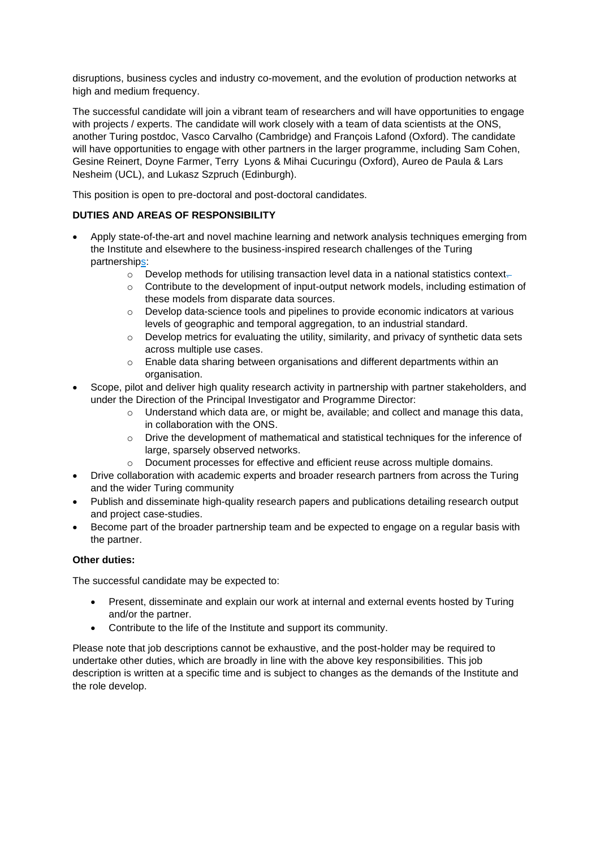disruptions, business cycles and industry co-movement, and the evolution of production networks at high and medium frequency.

The successful candidate will join a vibrant team of researchers and will have opportunities to engage with projects / experts. The candidate will work closely with a team of data scientists at the ONS, another Turing postdoc, Vasco Carvalho (Cambridge) and François Lafond (Oxford). The candidate will have opportunities to engage with other partners in the larger programme, including Sam Cohen, Gesine Reinert, Doyne Farmer, Terry Lyons & Mihai Cucuringu (Oxford), Aureo de Paula & Lars Nesheim (UCL), and Lukasz Szpruch (Edinburgh).

This position is open to pre-doctoral and post-doctoral candidates.

# **DUTIES AND AREAS OF RESPONSIBILITY**

- Apply state-of-the-art and novel machine learning and network analysis techniques emerging from the Institute and elsewhere to the business-inspired research challenges of the Turing partnerships:
	- $\circ$  Develop methods for utilising transaction level data in a national statistics context-
	- $\circ$  Contribute to the development of input-output network models, including estimation of these models from disparate data sources.
	- $\circ$  Develop data-science tools and pipelines to provide economic indicators at various levels of geographic and temporal aggregation, to an industrial standard.
	- $\circ$  Develop metrics for evaluating the utility, similarity, and privacy of synthetic data sets across multiple use cases.
	- $\circ$  Enable data sharing between organisations and different departments within an organisation.
- Scope, pilot and deliver high quality research activity in partnership with partner stakeholders, and under the Direction of the Principal Investigator and Programme Director:
	- $\circ$  Understand which data are, or might be, available; and collect and manage this data, in collaboration with the ONS.
	- o Drive the development of mathematical and statistical techniques for the inference of large, sparsely observed networks.
	- o Document processes for effective and efficient reuse across multiple domains.
- Drive collaboration with academic experts and broader research partners from across the Turing and the wider Turing community
- Publish and disseminate high-quality research papers and publications detailing research output and project case-studies.
- Become part of the broader partnership team and be expected to engage on a regular basis with the partner.

## **Other duties:**

The successful candidate may be expected to:

- Present, disseminate and explain our work at internal and external events hosted by Turing and/or the partner.
- Contribute to the life of the Institute and support its community.

Please note that job descriptions cannot be exhaustive, and the post-holder may be required to undertake other duties, which are broadly in line with the above key responsibilities. This job description is written at a specific time and is subject to changes as the demands of the Institute and the role develop.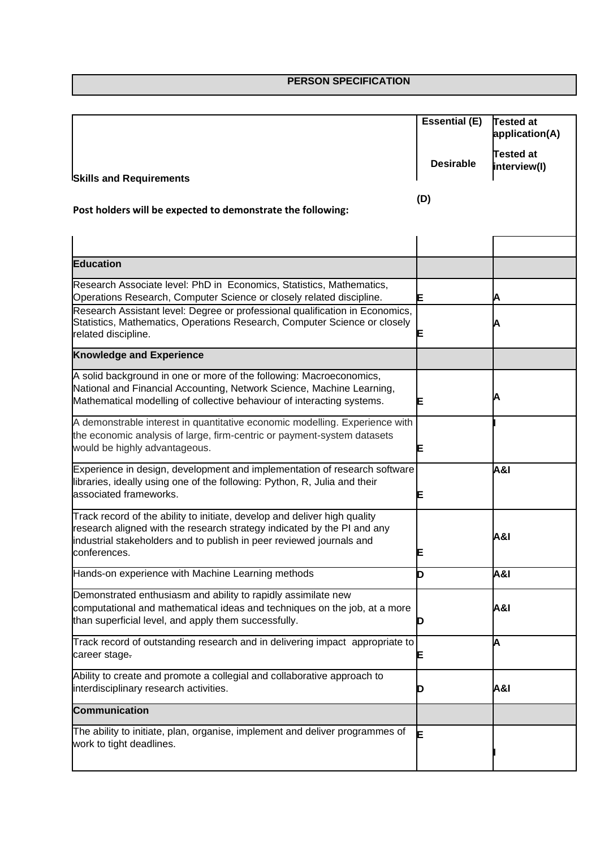**PERSON SPECIFICATION**

|                                                                                                                                                                                                                                              | <b>Essential (E)</b> | Tested at<br>application(A)      |
|----------------------------------------------------------------------------------------------------------------------------------------------------------------------------------------------------------------------------------------------|----------------------|----------------------------------|
| <b>Skills and Requirements</b>                                                                                                                                                                                                               | <b>Desirable</b>     | <b>Tested at</b><br>interview(I) |
|                                                                                                                                                                                                                                              |                      |                                  |
| Post holders will be expected to demonstrate the following:                                                                                                                                                                                  | (D)                  |                                  |
|                                                                                                                                                                                                                                              |                      |                                  |
| <b>Education</b>                                                                                                                                                                                                                             |                      |                                  |
| Research Associate level: PhD in Economics, Statistics, Mathematics,<br>Operations Research, Computer Science or closely related discipline.                                                                                                 | E                    |                                  |
| Research Assistant level: Degree or professional qualification in Economics,<br>Statistics, Mathematics, Operations Research, Computer Science or closely<br>related discipline.                                                             | E                    |                                  |
| <b>Knowledge and Experience</b>                                                                                                                                                                                                              |                      |                                  |
| A solid background in one or more of the following: Macroeconomics,<br>National and Financial Accounting, Network Science, Machine Learning,<br>Mathematical modelling of collective behaviour of interacting systems.                       | E                    |                                  |
| A demonstrable interest in quantitative economic modelling. Experience with<br>the economic analysis of large, firm-centric or payment-system datasets<br>would be highly advantageous.                                                      | E                    |                                  |
| Experience in design, development and implementation of research software<br>libraries, ideally using one of the following: Python, R, Julia and their<br>associated frameworks.                                                             | E                    | <b>A&amp;I</b>                   |
| Track record of the ability to initiate, develop and deliver high quality<br>research aligned with the research strategy indicated by the PI and any<br>industrial stakeholders and to publish in peer reviewed journals and<br>conferences. | Ε                    | <b>A&amp;I</b>                   |
| Hands-on experience with Machine Learning methods                                                                                                                                                                                            | D                    | <b>A&amp;I</b>                   |
| Demonstrated enthusiasm and ability to rapidly assimilate new<br>computational and mathematical ideas and techniques on the job, at a more<br>than superficial level, and apply them successfully.                                           | D                    | <b>A&amp;I</b>                   |
| Track record of outstanding research and in delivering impact appropriate to<br>career stage.                                                                                                                                                | E                    | A                                |
| Ability to create and promote a collegial and collaborative approach to<br>interdisciplinary research activities.                                                                                                                            | D                    | <b>A&amp;I</b>                   |
| <b>Communication</b>                                                                                                                                                                                                                         |                      |                                  |
| The ability to initiate, plan, organise, implement and deliver programmes of<br>work to tight deadlines.                                                                                                                                     | F                    |                                  |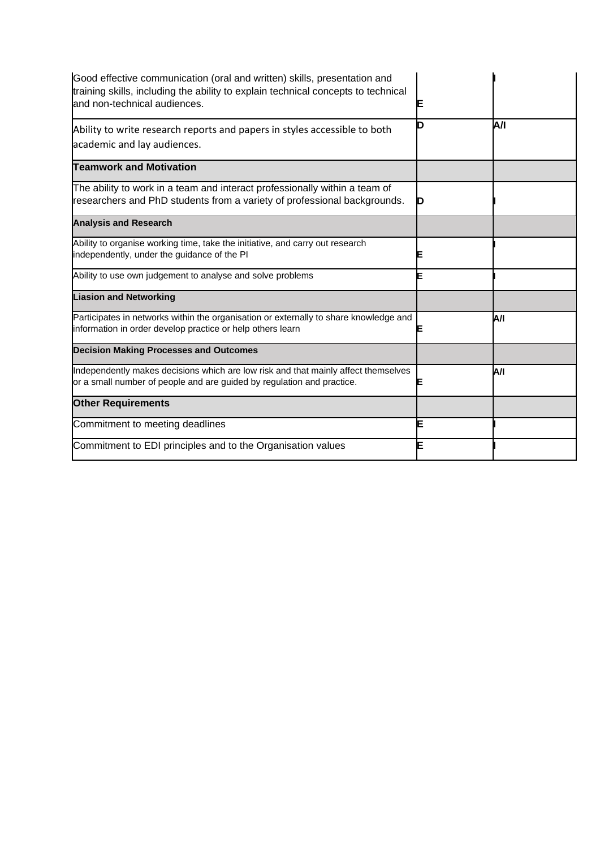| Good effective communication (oral and written) skills, presentation and<br>training skills, including the ability to explain technical concepts to technical<br>and non-technical audiences. | Е |     |
|-----------------------------------------------------------------------------------------------------------------------------------------------------------------------------------------------|---|-----|
| Ability to write research reports and papers in styles accessible to both<br>academic and lay audiences.                                                                                      | ח | A/I |
| <b>Teamwork and Motivation</b>                                                                                                                                                                |   |     |
| The ability to work in a team and interact professionally within a team of<br>researchers and PhD students from a variety of professional backgrounds.                                        |   |     |
| <b>Analysis and Research</b>                                                                                                                                                                  |   |     |
| Ability to organise working time, take the initiative, and carry out research<br>independently, under the guidance of the PI                                                                  |   |     |
| Ability to use own judgement to analyse and solve problems                                                                                                                                    |   |     |
| <b>Liasion and Networking</b>                                                                                                                                                                 |   |     |
| Participates in networks within the organisation or externally to share knowledge and<br>information in order develop practice or help others learn                                           |   | A/I |
| <b>Decision Making Processes and Outcomes</b>                                                                                                                                                 |   |     |
| Independently makes decisions which are low risk and that mainly affect themselves<br>or a small number of people and are guided by regulation and practice.                                  | Е | A/I |
| <b>Other Requirements</b>                                                                                                                                                                     |   |     |
| Commitment to meeting deadlines                                                                                                                                                               | Ε |     |
| Commitment to EDI principles and to the Organisation values                                                                                                                                   | Ε |     |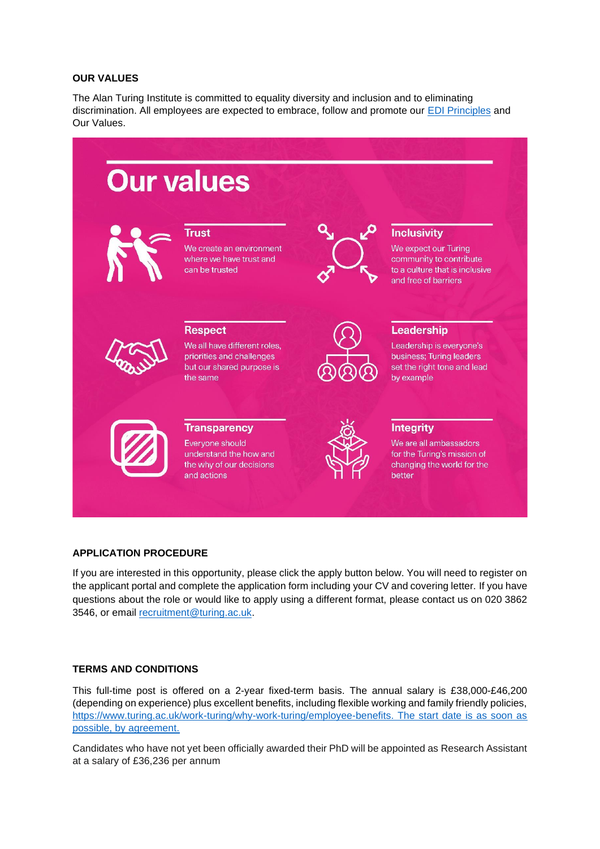#### **OUR VALUES**

The Alan Turing Institute is committed to equality diversity and inclusion and to eliminating discrimination. All employees are expected to embrace, follow and promote our [EDI Principles](https://www.turing.ac.uk/about-us/equality-diversity-and-inclusion) and Our Values.



#### **APPLICATION PROCEDURE**

If you are interested in this opportunity, please click the apply button below. You will need to register on the applicant portal and complete the application form including your CV and covering letter. If you have questions about the role or would like to apply using a different format, please contact us on 020 3862 3546, or email [recruitment@turing.ac.uk.](mailto:recruitment@turing.ac.uk)

## **TERMS AND CONDITIONS**

This full-time post is offered on a 2-year fixed-term basis. The annual salary is £38,000-£46,200 (depending on experience) plus excellent benefits, including flexible working and family friendly policies, [https://www.turing.ac.uk/work-turing/why-work-turing/employee-benefits.](https://www.turing.ac.uk/work-turing/why-work-turing/employee-benefits) The start date is as soon as possible, by agreement.

Candidates who have not yet been officially awarded their PhD will be appointed as Research Assistant at a salary of £36,236 per annum